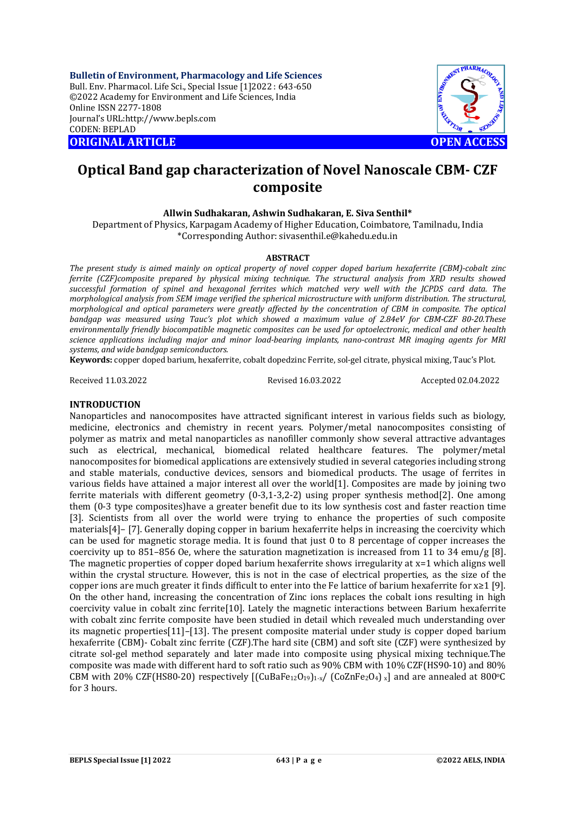**Bulletin of Environment, Pharmacology and Life Sciences** Bull. Env. Pharmacol. Life Sci., Special Issue [1]2022 : 643-650 ©2022 Academy for Environment and Life Sciences, India Online ISSN 2277-1808 Journal's URL:<http://www.bepls.com> CODEN: BEPLAD **ORIGINAL ARTICLE OPEN ACCESS** 



# **Optical Band gap characterization of Novel Nanoscale CBM- CZF composite**

## **Allwin Sudhakaran, Ashwin Sudhakaran, E. Siva Senthil\***

Department of Physics, Karpagam Academy of Higher Education, Coimbatore, Tamilnadu, India \*Corresponding Author: [sivasenthil.e@kahedu.edu.in](mailto:sivasenthil.e@kahedu.edu.in)

#### **ABSTRACT**

*The present study is aimed mainly on optical property of novel copper doped barium hexaferrite (CBM)-cobalt zinc ferrite (CZF)composite prepared by physical mixing technique. The structural analysis from XRD results showed*  successful formation of spinel and hexagonal ferrites which matched very well with the *JCPDS card data*. The *morphological analysis from SEM image verified the spherical microstructure with uniform distribution. The structural, morphological and optical parameters were greatly affected by the concentration of CBM in composite. The optical bandgap was measured using Tauc's plot which showed a maximum value of 2.84eV for CBM-CZF 80-20.These environmentally friendly biocompatible magnetic composites can be used for optoelectronic, medical and other health science applications including major and minor load-bearing implants, nano-contrast MR imaging agents for MRI systems, and wide bandgap semiconductors.*

**Keywords:** copper doped barium, hexaferrite, cobalt dopedzinc Ferrite, sol-gel citrate, physical mixing, Tauc's Plot.

Received 11.03.2022 Revised 16.03.2022 Accepted 02.04.2022

## **INTRODUCTION**

Nanoparticles and nanocomposites have attracted significant interest in various fields such as biology, medicine, electronics and chemistry in recent years. Polymer/metal nanocomposites consisting of polymer as matrix and metal nanoparticles as nanofiller commonly show several attractive advantages such as electrical, mechanical, biomedical related healthcare features. The polymer/metal nanocomposites for biomedical applications are extensively studied in several categories including strong and stable materials, conductive devices, sensors and biomedical products. The usage of ferrites in various fields have attained a major interest all over the world[1]. Composites are made by joining two ferrite materials with different geometry (0-3,1-3,2-2) using proper synthesis method[2]. One among them (0-3 type composites)have a greater benefit due to its low synthesis cost and faster reaction time [3]. Scientists from all over the world were trying to enhance the properties of such composite materials[4]– [7]. Generally doping copper in barium hexaferrite helps in increasing the coercivity which can be used for magnetic storage media. It is found that just 0 to 8 percentage of copper increases the coercivity up to 851–856 Oe, where the saturation magnetization is increased from 11 to 34 emu/g [8]. The magnetic properties of copper doped barium hexaferrite shows irregularity at x=1 which aligns well within the crystal structure. However, this is not in the case of electrical properties, as the size of the copper ions are much greater it finds difficult to enter into the Fe lattice of barium hexaferrite for x≥1 [9]. On the other hand, increasing the concentration of Zinc ions replaces the cobalt ions resulting in high coercivity value in cobalt zinc ferrite[10]. Lately the magnetic interactions between Barium hexaferrite with cobalt zinc ferrite composite have been studied in detail which revealed much understanding over its magnetic properties[11]–[13]. The present composite material under study is copper doped barium hexaferrite (CBM)- Cobalt zinc ferrite (CZF).The hard site (CBM) and soft site (CZF) were synthesized by citrate sol-gel method separately and later made into composite using physical mixing technique.The composite was made with different hard to soft ratio such as 90% CBM with 10% CZF(HS90-10) and 80% CBM with 20% CZF(HS80-20) respectively  $[(CuBaFe<sub>12</sub>O<sub>19</sub>)<sub>1-x</sub>/ (CoZnFe<sub>2</sub>O<sub>4</sub>)<sub>x</sub>]$  and are annealed at 800°C for 3 hours.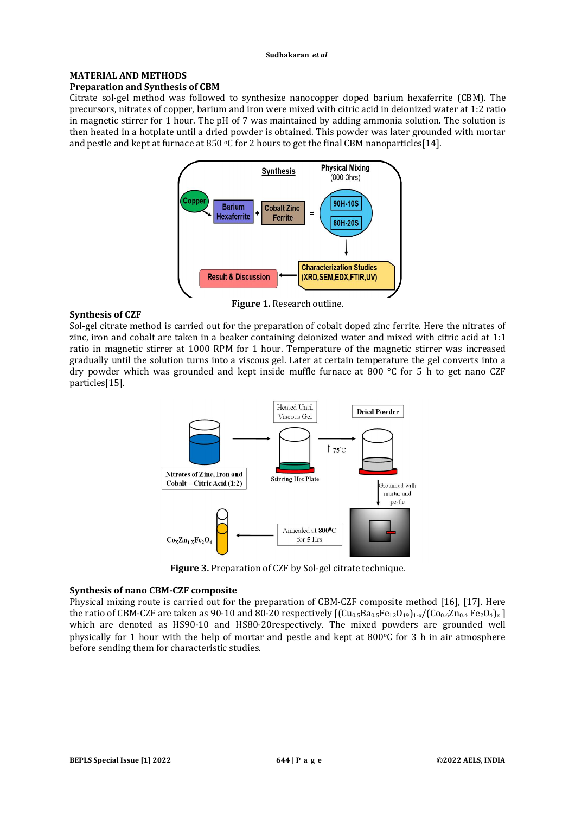#### **MATERIAL AND METHODS Preparation and Synthesis of CBM**

Citrate sol-gel method was followed to synthesize nanocopper doped barium hexaferrite (CBM). The precursors, nitrates of copper, barium and iron were mixed with citric acid in deionized water at 1:2 ratio in magnetic stirrer for 1 hour. The pH of 7 was maintained by adding ammonia solution. The solution is then heated in a hotplate until a dried powder is obtained. This powder was later grounded with mortar and pestle and kept at furnace at 850 °C for 2 hours to get the final CBM nanoparticles [14].



#### **Synthesis of CZF**

Sol-gel citrate method is carried out for the preparation of cobalt doped zinc ferrite. Here the nitrates of zinc, iron and cobalt are taken in a beaker containing deionized water and mixed with citric acid at 1:1 ratio in magnetic stirrer at 1000 RPM for 1 hour. Temperature of the magnetic stirrer was increased gradually until the solution turns into a viscous gel. Later at certain temperature the gel converts into a dry powder which was grounded and kept inside muffle furnace at 800 °C for 5 h to get nano CZF particles[15].



**Figure 3.** Preparation of CZF by Sol-gel citrate technique.

## **Synthesis of nano CBM-CZF composite**

Physical mixing route is carried out for the preparation of CBM-CZF composite method [16], [17]. Here the ratio of CBM-CZF are taken as 90-10 and 80-20 respectively  $[(Cu_{0.5}Ba_{0.5}Fe_{12}O_{19})_{1-x}/(Co_{0.6}Zn_{0.4}Fe_{2}O_{4})_{x}]$ which are denoted as HS90-10 and HS80-20respectively. The mixed powders are grounded well physically for 1 hour with the help of mortar and pestle and kept at  $800^{\circ}$ C for 3 h in air atmosphere before sending them for characteristic studies.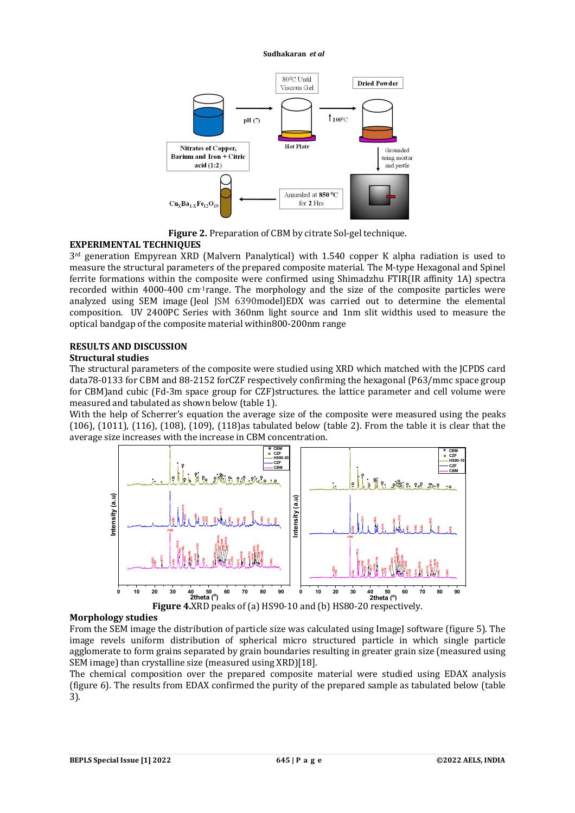

**Figure 2.** Preparation of CBM by citrate Sol-gel technique.

## **EXPERIMENTAL TECHNIQUES**

3rd generation Empyrean XRD (Malvern Panalytical) with 1.540 copper K alpha radiation is used to measure the structural parameters of the prepared composite material. The M-type Hexagonal and Spinel ferrite formations within the composite were confirmed using Shimadzhu FTIR(IR affinity 1A) spectra recorded within 4000-400 cm-1range. The morphology and the size of the composite particles were analyzed using SEM image (Jeol JSM 6390model)EDX was carried out to determine the elemental composition. UV 2400PC Series with 360nm light source and 1nm slit widthis used to measure the optical bandgap of the composite material within800-200nm range

## **RESULTS AND DISCUSSION**

## **Structural studies**

The structural parameters of the composite were studied using XRD which matched with the JCPDS card data78-0133 for CBM and 88-2152 forCZF respectively confirming the hexagonal (P63/mmc space group for CBM)and cubic (Fd-3m space group for CZF)structures. the lattice parameter and cell volume were measured and tabulated as shown below (table 1).

With the help of Scherrer's equation the average size of the composite were measured using the peaks (106), (1011), (116), (108), (109), (118)as tabulated below (table 2). From the table it is clear that the average size increases with the increase in CBM concentration.



## **Morphology studies**

From the SEM image the distribution of particle size was calculated using ImageJ software (figure 5). The image revels uniform distribution of spherical micro structured particle in which single particle agglomerate to form grains separated by grain boundaries resulting in greater grain size (measured using SEM image) than crystalline size (measured using XRD)[18].

The chemical composition over the prepared composite material were studied using EDAX analysis (figure 6). The results from EDAX confirmed the purity of the prepared sample as tabulated below (table 3).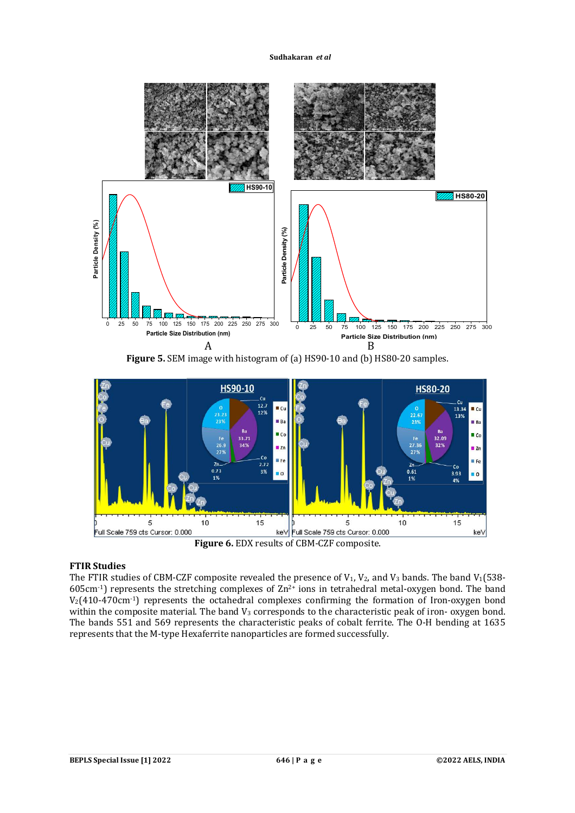

**Figure 5.** SEM image with histogram of (a) HS90-10 and (b) HS80-20 samples.



## **Figure 6.** EDX results of CBM-CZF composite.

## **FTIR Studies**

The FTIR studies of CBM-CZF composite revealed the presence of  $V_1$ ,  $V_2$ , and  $V_3$  bands. The band  $V_1(538-10)$ 605cm<sup>-1</sup>) represents the stretching complexes of  $Zn^{2+}$  ions in tetrahedral metal-oxygen bond. The band  $V_2(410-470 \text{cm}^{-1})$  represents the octahedral complexes confirming the formation of Iron-oxygen bond within the composite material. The band  $V_3$  corresponds to the characteristic peak of iron-oxygen bond. The bands 551 and 569 represents the characteristic peaks of cobalt ferrite. The O-H bending at 1635 represents that the M-type Hexaferrite nanoparticles are formed successfully.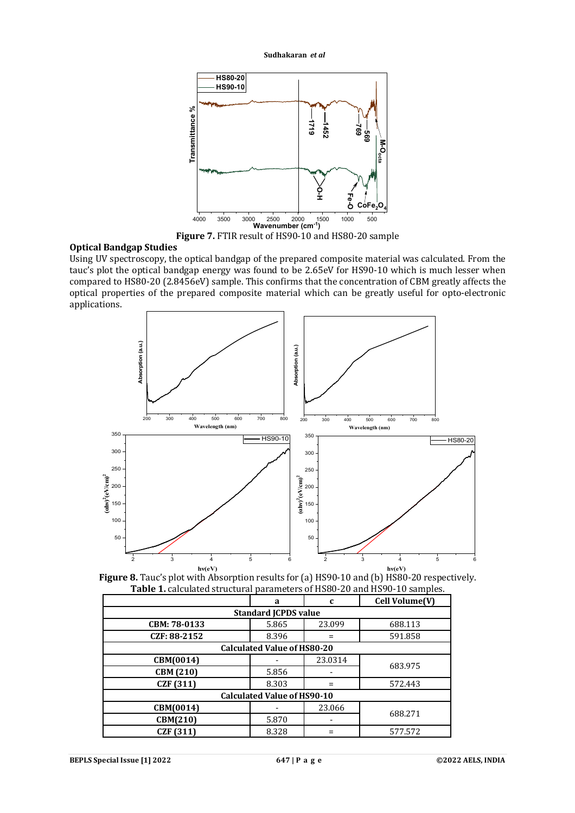

**Figure 7.** FTIR result of HS90-10 and HS80-20 sample

## **Optical Bandgap Studies**

Using UV spectroscopy, the optical bandgap of the prepared composite material was calculated. From the tauc's plot the optical bandgap energy was found to be 2.65eV for HS90-10 which is much lesser when compared to HS80-20 (2.8456eV) sample. This confirms that the concentration of CBM greatly affects the optical properties of the prepared composite material which can be greatly useful for opto-electronic applications.



**Figure 8.** Tauc's plot with Absorption results for (a) HS90-10 and (b) HS80-20 respectively. **Table 1.** calculated structural parameters of HS80-20 and HS90-10 samples.

|                                    | a     | C       | Cell Volume(V) |  |  |
|------------------------------------|-------|---------|----------------|--|--|
| <b>Standard JCPDS value</b>        |       |         |                |  |  |
| CBM: 78-0133                       | 5.865 | 23.099  | 688.113        |  |  |
| CZF: 88-2152                       | 8.396 |         | 591.858        |  |  |
| <b>Calculated Value of HS80-20</b> |       |         |                |  |  |
| CBM(0014)                          |       | 23.0314 | 683.975        |  |  |
| CBM (210)                          | 5.856 |         |                |  |  |
| <b>CZF</b> (311)                   | 8.303 |         | 572.443        |  |  |
| <b>Calculated Value of HS90-10</b> |       |         |                |  |  |
| CBM(0014)                          |       | 23.066  |                |  |  |
| CBM(210)                           | 5.870 |         | 688.271        |  |  |
| CZF (311)                          | 8.328 |         | 577.572        |  |  |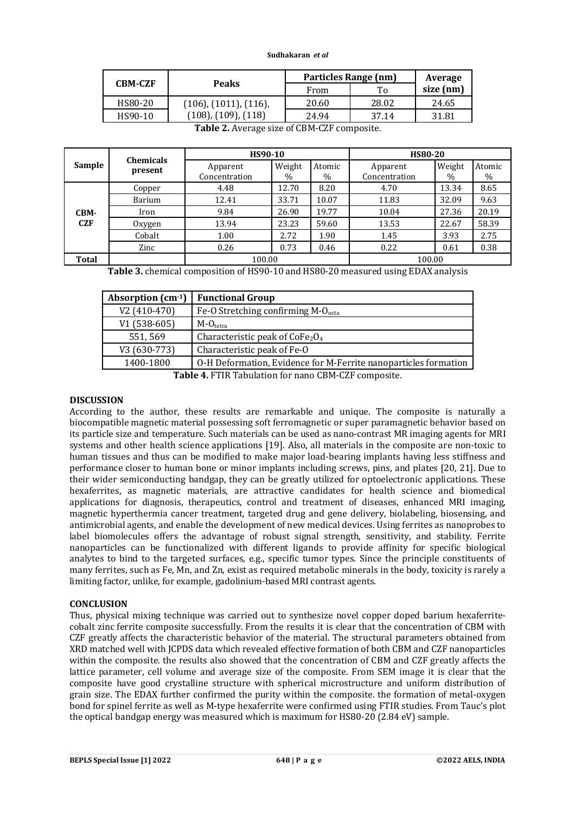| <b>CBM-CZF</b> |                                | Particles Range (nm) | Average |           |  |
|----------------|--------------------------------|----------------------|---------|-----------|--|
|                | <b>Peaks</b>                   | From                 | Tо      | size (nm) |  |
| HS80-20        | $(106)$ , $(1011)$ , $(116)$ , | 20.60                | 28.02   | 24.65     |  |
| HS90-10        | $(108)$ , $(109)$ , $(118)$    | 24.94                | 37.14   | 31.81     |  |

|            | <b>Chemicals</b><br>present | HS90-10                   |                |                | <b>HS80-20</b>            |                |                |
|------------|-----------------------------|---------------------------|----------------|----------------|---------------------------|----------------|----------------|
| Sample     |                             | Apparent<br>Concentration | Weight<br>$\%$ | Atomic<br>$\%$ | Apparent<br>Concentration | Weight<br>$\%$ | Atomic<br>$\%$ |
|            | Copper                      | 4.48                      | 12.70          | 8.20           | 4.70                      | 13.34          | 8.65           |
|            | Barium                      | 12.41                     | 33.71          | 10.07          | 11.83                     | 32.09          | 9.63           |
| CBM-       | Iron                        | 9.84                      | 26.90          | 19.77          | 10.04                     | 27.36          | 20.19          |
| <b>CZF</b> | Oxygen                      | 13.94                     | 23.23          | 59.60          | 13.53                     | 22.67          | 58.39          |
|            | Cobalt                      | 1.00                      | 2.72           | 1.90           | 1.45                      | 3.93           | 2.75           |
|            | Zinc                        | 0.26                      | 0.73           | 0.46           | 0.22                      | 0.61           | 0.38           |
| Total      |                             | 100.00                    |                | 100.00         |                           |                |                |

**Table 2.** Average size of CBM-CZF composite.

**Table 3.** chemical composition of HS90-10 and HS80-20 measured using EDAX analysis

| Absorption $(cm-1)$                                 | <b>Functional Group</b>                                         |  |
|-----------------------------------------------------|-----------------------------------------------------------------|--|
| V2 (410-470)                                        | Fe-O Stretching confirming $M-Oocta$                            |  |
| V1 (538-605)                                        | $M-Otetra$                                                      |  |
| 551, 569                                            | Characteristic peak of $CoFe2O4$                                |  |
| V3 (630-773)                                        | Characteristic peak of Fe-O                                     |  |
| 1400-1800                                           | O-H Deformation, Evidence for M-Ferrite nanoparticles formation |  |
| Takle 4. FTID Takulation for none CDM CZE composite |                                                                 |  |

**Table 4.** FTIR Tabulation for nano CBM-CZF composite.

## **DISCUSSION**

According to the author, these results are remarkable and unique. The composite is naturally a biocompatible magnetic material possessing soft ferromagnetic or super paramagnetic behavior based on its particle size and temperature. Such materials can be used as nano-contrast MR imaging agents for MRI systems and other health science applications [19]. Also, all materials in the composite are non-toxic to human tissues and thus can be modified to make major load-bearing implants having less stiffness and performance closer to human bone or minor implants including screws, pins, and plates [20, 21]. Due to their wider semiconducting bandgap, they can be greatly utilized for optoelectronic applications. These hexaferrites, as magnetic materials, are attractive candidates for health science and biomedical applications for diagnosis, therapeutics, control and treatment of diseases, enhanced MRI imaging, magnetic hyperthermia cancer treatment, targeted drug and gene delivery, biolabeling, biosensing, and antimicrobial agents, and enable the development of new medical devices. Using ferrites as nanoprobes to label biomolecules offers the advantage of robust signal strength, sensitivity, and stability. Ferrite nanoparticles can be functionalized with different ligands to provide affinity for specific biological analytes to bind to the targeted surfaces, e.g., specific tumor types. Since the principle constituents of many ferrites, such as Fe, Mn, and Zn, exist as required metabolic minerals in the body, toxicity is rarely a limiting factor, unlike, for example, gadolinium-based MRI contrast agents.

## **CONCLUSION**

Thus, physical mixing technique was carried out to synthesize novel copper doped barium hexaferritecobalt zinc ferrite composite successfully. From the results it is clear that the concentration of CBM with CZF greatly affects the characteristic behavior of the material. The structural parameters obtained from XRD matched well with JCPDS data which revealed effective formation of both CBM and CZF nanoparticles within the composite. the results also showed that the concentration of CBM and CZF greatly affects the lattice parameter, cell volume and average size of the composite. From SEM image it is clear that the composite have good crystalline structure with spherical microstructure and uniform distribution of grain size. The EDAX further confirmed the purity within the composite. the formation of metal-oxygen bond for spinel ferrite as well as M-type hexaferrite were confirmed using FTIR studies. From Tauc's plot the optical bandgap energy was measured which is maximum for HS80-20 (2.84 eV) sample.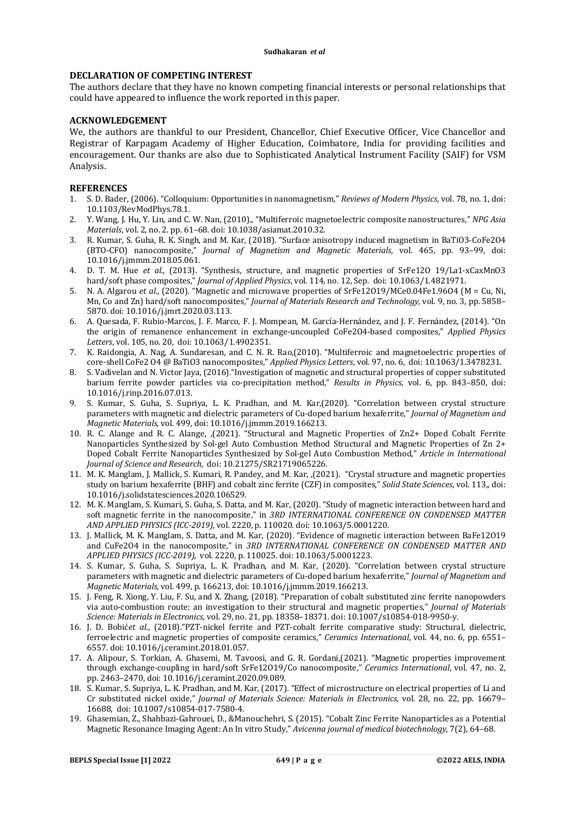## **DECLARATION OF COMPETING INTEREST**

The authors declare that they have no known competing financial interests or personal relationships that could have appeared to influence the work reported in this paper.

## **ACKNOWLEDGEMENT**

We, the authors are thankful to our President, Chancellor, Chief Executive Officer, Vice Chancellor and Registrar of Karpagam Academy of Higher Education, Coimbatore, India for providing facilities and encouragement. Our thanks are also due to Sophisticated Analytical Instrument Facility (SAIF) for VSM Analysis.

## **REFERENCES**

- 1. S. D. Bader, (2006). "Colloquium: Opportunities in nanomagnetism," *Reviews of Modern Physics*, vol. 78, no. 1, doi: 10.1103/RevModPhys.78.1.
- 2. Y. Wang, J. Hu, Y. Lin, and C. W. Nan, (2010)., "Multiferroic magnetoelectric composite nanostructures," *NPG Asia Materials*, vol. 2, no. 2. pp. 61–68. doi: 10.1038/asiamat.2010.32.
- 3. R. Kumar, S. Guha, R. K. Singh, and M. Kar, (2018). "Surface anisotropy induced magnetism in BaTiO3-CoFe2O4 (BTO-CFO) nanocomposite," *Journal of Magnetism and Magnetic Materials*, vol. 465, pp. 93–99, doi: 10.1016/j.jmmm.2018.05.061.
- 4. D. T. M. Hue *et al.*, (2013). "Synthesis, structure, and magnetic properties of SrFe12O 19/La1-xCaxMnO3 hard/soft phase composites," *Journal of Applied Physics*, vol. 114, no. 12, Sep. doi: 10.1063/1.4821971.
- 5. N. A. Algarou *et al.*, (2020). "Magnetic and microwave properties of SrFe12O19/MCe0.04Fe1.96O4 (M = Cu, Ni, Mn, Co and Zn) hard/soft nanocomposites," *Journal of Materials Research and Technology*, vol. 9, no. 3, pp. 5858– 5870. doi: 10.1016/j.jmrt.2020.03.113.
- 6. A. Quesada, F. Rubio-Marcos, J. F. Marco, F. J. Mompean, M. García-Hernández, and J. F. Fernández, (2014). "On the origin of remanence enhancement in exchange-uncoupled CoFe2O4-based composites," *Applied Physics Letters*, vol. 105, no. 20, doi: 10.1063/1.4902351.
- 7. K. Raidongia, A. Nag, A. Sundaresan, and C. N. R. Rao,(2010). "Multiferroic and magnetoelectric properties of core-shell CoFe2 O4 @ BaTiO3 nanocomposites," *Applied Physics Letters*, vol. 97, no. 6, doi: 10.1063/1.3478231.
- 8. S. Vadivelan and N. Victor Jaya, (2016)."Investigation of magnetic and structural properties of copper substituted barium ferrite powder particles via co-precipitation method," *Results in Physics*, vol. 6, pp. 843–850, doi: 10.1016/j.rinp.2016.07.013.
- 9. S. Kumar, S. Guha, S. Supriya, L. K. Pradhan, and M. Kar,(2020). "Correlation between crystal structure parameters with magnetic and dielectric parameters of Cu-doped barium hexaferrite," *Journal of Magnetism and Magnetic Materials*, vol. 499, doi: 10.1016/j.jmmm.2019.166213.
- 10. R. C. Alange and R. C. Alange, ,(2021). "Structural and Magnetic Properties of Zn2+ Doped Cobalt Ferrite Nanoparticles Synthesized by Sol-gel Auto Combustion Method Structural and Magnetic Properties of Zn 2+ Doped Cobalt Ferrite Nanoparticles Synthesized by Sol-gel Auto Combustion Method," *Article in International Journal of Science and Research*, doi: 10.21275/SR21719065226.
- 11. M. K. Manglam, J. Mallick, S. Kumari, R. Pandey, and M. Kar, ,(2021). "Crystal structure and magnetic properties study on barium hexaferrite (BHF) and cobalt zinc ferrite (CZF) in composites," *Solid State Sciences*, vol. 113,, doi: 10.1016/j.solidstatesciences.2020.106529.
- 12. M. K. Manglam, S. Kumari, S. Guha, S. Datta, and M. Kar, (2020). "Study of magnetic interaction between hard and soft magnetic ferrite in the nanocomposite," in *3RD INTERNATIONAL CONFERENCE ON CONDENSED MATTER AND APPLIED PHYSICS (ICC-2019)*, vol. 2220, p. 110020. doi: 10.1063/5.0001220.
- 13. J. Mallick, M. K. Manglam, S. Datta, and M. Kar, (2020). "Evidence of magnetic interaction between BaFe12O19 and CuFe2O4 in the nanocomposite," in *3RD INTERNATIONAL CONFERENCE ON CONDENSED MATTER AND APPLIED PHYSICS (ICC-2019)*, vol. 2220, p. 110025. doi: 10.1063/5.0001223.
- 14. S. Kumar, S. Guha, S. Supriya, L. K. Pradhan, and M. Kar, (2020). "Correlation between crystal structure parameters with magnetic and dielectric parameters of Cu-doped barium hexaferrite," *Journal of Magnetism and Magnetic Materials*, vol. 499, p. 166213, doi: 10.1016/j.jmmm.2019.166213.
- 15. J. Feng, R. Xiong, Y. Liu, F. Su, and X. Zhang, (2018). "Preparation of cobalt substituted zinc ferrite nanopowders via auto-combustion route: an investigation to their structural and magnetic properties," *Journal of Materials Science: Materials in Electronics*, vol. 29, no. 21, pp. 18358–18371. doi: 10.1007/s10854-018-9950-y.
- 16. J. D. Bobić*et al.*, (2018)."PZT-nickel ferrite and PZT-cobalt ferrite comparative study: Structural, dielectric, ferroelectric and magnetic properties of composite ceramics," *Ceramics International*, vol. 44, no. 6, pp. 6551– 6557. doi: 10.1016/j.ceramint.2018.01.057.
- 17. A. Alipour, S. Torkian, A. Ghasemi, M. Tavoosi, and G. R. Gordani,(2021). "Magnetic properties improvement through exchange-coupling in hard/soft SrFe12O19/Co nanocomposite," *Ceramics International*, vol. 47, no. 2, pp. 2463–2470, doi: 10.1016/j.ceramint.2020.09.089.
- 18. S. Kumar, S. Supriya, L. K. Pradhan, and M. Kar, (2017). "Effect of microstructure on electrical properties of Li and Cr substituted nickel oxide," *Journal of Materials Science: Materials in Electronics*, vol. 28, no. 22, pp. 16679– 16688, doi: 10.1007/s10854-017-7580-4.
- 19. Ghasemian, Z., Shahbazi-Gahrouei, D., &Manouchehri, S. (2015). "Cobalt Zinc Ferrite Nanoparticles as a Potential Magnetic Resonance Imaging Agent: An In vitro Study," *Avicenna journal of medical biotechnology,* 7(2), 64–68.